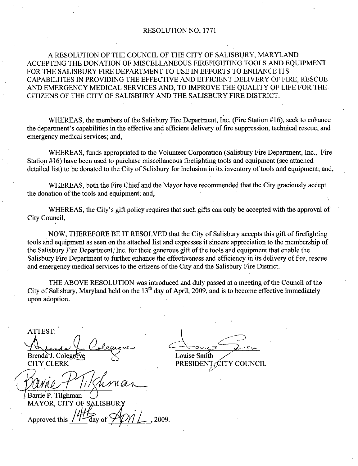#### RESOLUTION NO. 1771

# A RESOLUTION OF THE COUNCIL OF THE CITY OF SALISBURY, MARYLAND ACCEPTING THE DONATION OF MISCELLANEOUS FIREFIGHTING TOOLS AND EQUIPMENT FOR THE SALISBURY FIRE DEPARTMENT TO USE IN EFFORTS TO ENHANCE ITS CAPABILITIES IN PROVIDING THE EFFECTIVE AND EFFICIENT DELIVERY OF FIRE RESCUE AND EMERGENCY MEDICAL SERVICES AND, TO IMPROVE THE QUALITY OF LIFE FOR THE CITIZENS OF THE CITY OF SALISBURY AND THE SALISBURY FIRE DISTRICT FOR THE SALISBURY FIRE DEPARTMENT TO USE IN EFFORTS TO ENHANCE ITS<br>CAPABILITIES IN PROVIDING THE EFFECTIVE AND EFFICIENT DELIVERY OF FIRE, RESCUE<br>AND EMERGENCY MEDICAL SERVICES AND, TO IMPROVE THE QUALITY OF LIFE FOR THE<br>C

WHEREAS, the members of the Salisbury Fire Department, Inc. (Fire Station #16), seek to enhance<br>the department's capabilities in the effective and efficient delivery of fire suppression, technical rescue, and emergency medical services; and,

WHEREAS, funds appropriated to the Volunteer Corporation (Salisbury Fire Department, Inc., Fire Station  $#16$ ) have been used to purchase miscellaneous firefighting tools and equipment (see attached detailed list) to be donated to the City of Salisbury for inclusion in its inventory of tools and equipment; and,

WHEREAS, both the Fire Chief and the Mayor have recommended that the City graciously accept the donation of the tools and equipment; and,

WHEREAS, the City's gift policy requires that such gifts can only be accepted with the approval of City Council

NOW, THEREFORE BE IT RESOLVED that the City of Salisbury accepts this gift of firefighting tools and equipment as seen on the attached list and expresses it sincere appreciation to the membership of the Salisbury Fire Department, Inc. for their generous gift of the tools and equipment that enable the Salisbury Fire Department to further enhance the effectiveness and efficiency in its delivery of fire, rescue and emergency medical services to the citizens of the City and the Salisbury Fire District.

THE ABOVE RESOLUTION was introduced and duly passed at ameeting of the Council of the City of Salisbury, Maryland held on the  $13<sup>th</sup>$  day of April, 2009, and is to become effective immediately upon adoption

ATTEST TTEST:<br>
A<br>
renda J. Colegro<br>
ITY CLERK<br>
Q<br>
WILLERK<br>
arrie P. Tilghma<br>
IAYOR, CITY ( Le Colegione

Brenda J. Colegrove  $\leq$  Louise Smith<br>CITY CLERK PRESIDENT

Barrie P. Tilghman MAYOR, CITY OF SALISBU

Approved this day of  $\sqrt{\frac{1}{1}}$ , 2009

CITY CLERK PRESIDENT, CITY COUNCIL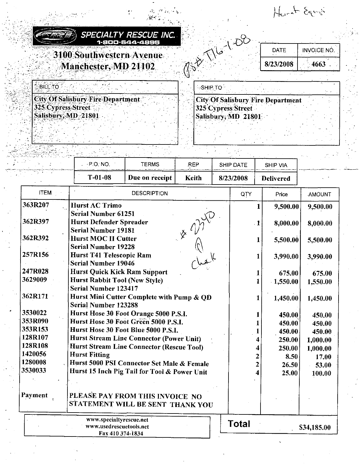Hart Egypt City Of Salisbury Fire Department DATE INVOICE SPECIALTY RESCUE INC. 00-644-4895 DATE | INVOICE NO. 3100 Southwestern Avenue Manchester, MD 21102. **BILL TO** 

**City Of Salisbury Fire Department** 325 Cypress Street Salisbury, MD 21801

325 Cypress Street Salisbury, MD 21801

|                    | $-$ PIO. NO.                                                                  | <b>TERMS</b>                       | <b>REP</b> | SHIP DATE    | <b>SHIP VIA</b> |                  |             |  |
|--------------------|-------------------------------------------------------------------------------|------------------------------------|------------|--------------|-----------------|------------------|-------------|--|
|                    | $T-01-08$                                                                     | Due on receipt                     | Keith      | 8/23/2008    |                 | <b>Delivered</b> |             |  |
| <b>ITEM</b>        |                                                                               | <b>DESCRIPTION</b><br>QTY<br>Price |            |              | AMOUNT          |                  |             |  |
| 363R207            | <b>Hurst AC Trimo</b>                                                         |                                    |            |              | 1               | 9,500.00         | 9,500.00    |  |
|                    | <b>Serial Number 61251</b>                                                    |                                    |            |              |                 |                  |             |  |
| 362R397            | <b>Hurst Defender Spreader</b>                                                |                                    |            |              | $\cdot$ 1       | 8,000.00         | 8,000.00    |  |
| 362R392            | <b>Serial Number 19181</b><br><b>Hurst MOC II Cutter</b>                      |                                    |            |              |                 |                  |             |  |
|                    | <b>Serial Number 19228</b>                                                    |                                    |            |              | 1               | 5,500.00         | 5,500.00    |  |
| 257R156            | <b>Hurst T41 Telescopic Ram</b>                                               |                                    |            |              | Ŧ.              | 3,990.00         | 3,990.00    |  |
|                    | <b>Serial Number 19046</b>                                                    |                                    |            |              |                 |                  |             |  |
| 247R028            | <b>Hurst Quick Kick Ram Support</b>                                           |                                    |            |              |                 | 675.00           | 675.00      |  |
| 3629009            | <b>Hurst Rabbit Tool (New Style)</b>                                          |                                    |            |              | 1               | $-1,550.00$      | 1,550.00    |  |
|                    | <b>Serial Number 123417</b>                                                   |                                    |            |              |                 |                  |             |  |
| 362R171            | Hurst Mini Cutter Complete with Pump & OD                                     |                                    |            |              | Ŧ               | 1,450.00         | 1,450.00    |  |
|                    | <b>Serial Number 123288</b>                                                   |                                    |            |              |                 |                  |             |  |
| 3530022<br>353R090 | Hurst Hose 30 Foot Orange 5000 P.S.I.<br>Hurst Hose 30 Foot Green 5000 P.S.I. |                                    |            |              |                 | 450.00           | 450.00      |  |
| 353R153            | Hurst Hose 30 Foot Blue 5000 P.S.I.                                           |                                    |            |              |                 | 450.00           | 450.00      |  |
| 128R107            | <b>Hurst Stream Line Connector (Power Unit)</b>                               |                                    |            |              |                 | 450.00           | 450.00      |  |
| 128R108            | <b>Hurst Stream Line Connector (Rescue Tool)</b>                              |                                    |            |              |                 | 250.00           | 1,000.00    |  |
| 1420056            | <b>Hurst Fitting</b>                                                          |                                    |            |              |                 | 250.00           | 1,000.00    |  |
| 1280008            | Hurst 5000 PSI Connector Set Male & Female                                    |                                    |            |              | 2               | 8.50             | 17.00       |  |
| 3530033            | Hurst 15 Inch Pig Tail for Tool & Power Unit                                  |                                    |            |              | 2               | 26.50<br>25.00   | 53.00       |  |
|                    |                                                                               |                                    |            |              |                 |                  | 100.00      |  |
|                    |                                                                               |                                    |            |              |                 |                  |             |  |
| Payment            | PLEASE PAY FROM THIS INVOICE NO<br>STATEMENT WILL BE SENT THANK YOU           |                                    |            |              |                 |                  |             |  |
|                    |                                                                               |                                    |            |              |                 |                  |             |  |
|                    | www.specialtyrescue.net<br>www.usedrescuetools.net<br>Fax 410 374-1834        |                                    |            | <b>Total</b> |                 |                  | \$34,185.00 |  |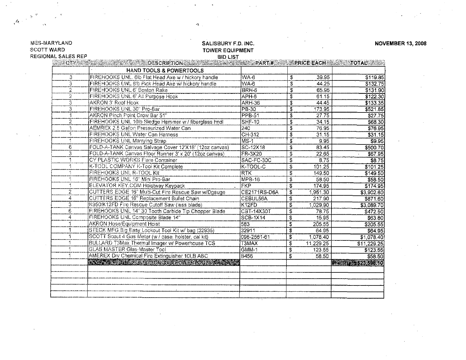| <b>MARYLAND</b><br><b>TT WARD</b> | SALISBURY F.D. INC.<br><b>TOWER EQUIPMENT</b>                                                                                                                                                                                  |                 |                                        |           |                                |  |  |  |  |
|-----------------------------------|--------------------------------------------------------------------------------------------------------------------------------------------------------------------------------------------------------------------------------|-----------------|----------------------------------------|-----------|--------------------------------|--|--|--|--|
| <b>IONAL SALES REP</b>            | <b>BID LIST</b>                                                                                                                                                                                                                |                 |                                        |           |                                |  |  |  |  |
|                                   | CITY AND INTERNATIONAL CONTROL CONTROL CONTROL CONTROL CONTROL CONTROL CONTROL CONTROL CONTROL CONTROL CONTROL CONTROL CONTROL CONTROL CONTROL CONTROL CONTROL CONTROL CONTROL CONTROL CONTROL CONTROL CONTROL CONTROL CONTROL |                 |                                        |           |                                |  |  |  |  |
|                                   | HAND TOOLS & POWERTOOLS                                                                                                                                                                                                        |                 |                                        |           |                                |  |  |  |  |
| 3                                 | FIREHOOKS UNL. 6lb Flat Head Axe w / hickory handle                                                                                                                                                                            | WA-6            | \$                                     | 39.95     | \$119.85                       |  |  |  |  |
| 3                                 | FIREHOOKS UNL 8lb Pick Head Axe w/ hickory handle                                                                                                                                                                              | WA-6            | $\overline{\mathfrak{s}}$              | 44.25     | \$132.75                       |  |  |  |  |
| 2                                 | FIREHOOKS UNL 6' Boston Rake                                                                                                                                                                                                   | BRH-6           | \$                                     | 65.95     | \$131.90                       |  |  |  |  |
| 2                                 | FIREHOOKS UNL 6' All Purpose Hook                                                                                                                                                                                              | APH-6           | \$                                     | 61.15     | \$122.30                       |  |  |  |  |
| 3                                 | AKRON 3' Roof Hook                                                                                                                                                                                                             | <b>ARH-36</b>   | $\overline{\mathfrak{s}}$              | 44.45     | \$133.35                       |  |  |  |  |
| 3                                 | FIREHOOKS UNL 30" Pro-Bar                                                                                                                                                                                                      | PB-30           | \$                                     | 173.95    | \$521.85                       |  |  |  |  |
| 1                                 | AKRON Pinch Point Crow Bar 51"                                                                                                                                                                                                 | <b>PPB-51</b>   | \$                                     | 27.75     | \$27.75                        |  |  |  |  |
| 2                                 | FIREHOOKS UNL 10lb Sledge Hammer w / fiberglass hndl                                                                                                                                                                           | <b>SHF-10</b>   | $\overline{\mathbf{3}}$                | 34.15     | \$68.30                        |  |  |  |  |
| 1                                 | AEMREX 2.5 Gallon Pressurized Water Can                                                                                                                                                                                        | 240             | \$                                     | 76.95     | \$76.95                        |  |  |  |  |
|                                   | <b>FIREHOOKS UNL Water Can Harness</b>                                                                                                                                                                                         | $CH-312$        | \$                                     | 31.15     | \$31.15]                       |  |  |  |  |
| 1                                 | <b>FIREHOOKS UNL Marrying Strap</b>                                                                                                                                                                                            | $MS-1$          | \$                                     | 9.95      | \$9.95                         |  |  |  |  |
| 6                                 | FOLD-A-TANK Canvas Salvage Cover 12'X18' (12oz canvas)                                                                                                                                                                         | $SC-12X18$      | $\overline{\mathbf{s}}$                | 83.45     | \$500.70                       |  |  |  |  |
| 3                                 | FOLD-A-TANK Canvas Floor Runner 3' x 20' (12oz canvas)                                                                                                                                                                         | <b>FR-3X20</b>  | \$                                     | 22.65     | \$67.95<br>$\mathcal{L}^{\pm}$ |  |  |  |  |
|                                   | CY PLASTIC WORKS Flare Container                                                                                                                                                                                               | SAC-FC-30C      | \$                                     | 8.75      | \$8.75                         |  |  |  |  |
| 1                                 | K-TOOL COMPANY K-Tool Kit Complete                                                                                                                                                                                             | <b>K-TOOL-C</b> | \$                                     | 101.25    | \$101.25                       |  |  |  |  |
| 1                                 | FIREHOOKS UNL R-TOOL Kit                                                                                                                                                                                                       | <b>RTK</b>      | \$                                     | 149.50    | \$149.50                       |  |  |  |  |
|                                   | FIREHOOKS UNL 16" Mini Pro-Bar                                                                                                                                                                                                 | $MPB-16$        | \$                                     | 58.50     | \$58.50                        |  |  |  |  |
| 1                                 | ELEVATOR KEY.COM Hoistway Keypack                                                                                                                                                                                              | FKP             | \$                                     | 174.95    | \$174.95                       |  |  |  |  |
| $\overline{2}$                    | CUTTERS EDGE 16" Multi-Cut Fire Rescue Saw w/Dgauge                                                                                                                                                                            | CE2171RS-D6A    | $\overline{\boldsymbol{\mathfrak{s}}}$ | 1,951.30  | \$3,902.60                     |  |  |  |  |
| 4                                 | <b>CUTTERS EDGE 16" Replacement Bullet Chain</b>                                                                                                                                                                               | CEBUL56A        | \$                                     | 217.90    | \$871.60                       |  |  |  |  |
| $\overline{3}$                    | K950/K12FD Fire Rescue Cutoff Saw (less blade)                                                                                                                                                                                 | K12FD           | \$                                     | 1,029.90  | \$3,089.70                     |  |  |  |  |
| $\overline{6}$                    | FIREHOOKS UNL 14" 30 Tooth Carbide Tip Chopper Blade                                                                                                                                                                           | CBT-14X30T      | \$                                     | 78.75     | \$472.50                       |  |  |  |  |
| 4                                 | FIREHOOKS UNL Composite Blade 14"                                                                                                                                                                                              | $SCB-1X14$      | $\overline{\mathbf{3}}$                | 15.95     | \$63.80                        |  |  |  |  |
|                                   | <b>AKRON Hose/Equipment Hoist</b>                                                                                                                                                                                              | 583             | \$                                     | 205.55    | \$205.55                       |  |  |  |  |
|                                   | STECK MFG Big Easy Lockout Tool Kit w/ bag (32935)                                                                                                                                                                             | 32911           | $\overline{\mathbf{s}}$                | 64.95     | \$64.95                        |  |  |  |  |
| 1                                 | SCOTT Scout 4 Gas Meter (w / case, holster, cal kit)                                                                                                                                                                           | 096-2561-61     | $\bar{\mathfrak{s}}$                   | 1,078.40  | \$1,078.40                     |  |  |  |  |
|                                   | <b>BULLARD T3Max Thermal Imager w/ Powerhouse TCS</b>                                                                                                                                                                          | <b>T3MAX</b>    | \$                                     | 11,229.25 | \$11,229.25                    |  |  |  |  |
|                                   | <b>GLAS MASTER Glas-Master Tool</b>                                                                                                                                                                                            | GMM-1           | \$                                     | 123.55    | \$123.55                       |  |  |  |  |
|                                   | AMEREX Dry Chemical Fire Extinguisher 10LB ABC                                                                                                                                                                                 | <b>B456</b>     | \$                                     | 58.50     | \$58.50                        |  |  |  |  |
|                                   | A CAPA SE PERSONAL DE LA BILA DE LA BILA DE LA CONTRACCIA                                                                                                                                                                      |                 |                                        |           | 12. 0                          |  |  |  |  |
|                                   |                                                                                                                                                                                                                                |                 |                                        |           |                                |  |  |  |  |
|                                   |                                                                                                                                                                                                                                |                 |                                        |           |                                |  |  |  |  |
|                                   |                                                                                                                                                                                                                                |                 |                                        |           |                                |  |  |  |  |
|                                   |                                                                                                                                                                                                                                |                 |                                        |           |                                |  |  |  |  |
|                                   |                                                                                                                                                                                                                                |                 |                                        |           |                                |  |  |  |  |
|                                   |                                                                                                                                                                                                                                |                 |                                        |           |                                |  |  |  |  |

 $\mathcal{L}_{\mathcal{S}}$ tr  $\cdot$   $\!$ 

#### sco **REGI**

 $\alpha$ 

 $\mathcal{L}_{\bullet}$ 

 $\mathcal{A}_{\epsilon}$ 

**NOVEMBER 13, 2008**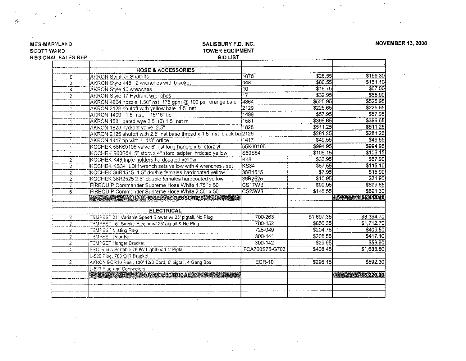| TT WARD                 | <b>TOWER EQUIPMENT</b>                                                |                 |            |                         |
|-------------------------|-----------------------------------------------------------------------|-----------------|------------|-------------------------|
| <b>IONAL SALES REP</b>  | <b>BID LIST</b>                                                       |                 |            |                         |
|                         |                                                                       |                 |            |                         |
|                         | <b>HOSE &amp; ACCESSORIES</b>                                         |                 |            |                         |
| 6                       | <b>AKRON Spinkler Shutoffs</b>                                        | 1078            | \$26.55    | \$159.30                |
| $\overline{c}$          | AKRON Style 448, 2 wrenches with bracket                              | 448             | \$80.55    | \$161.10                |
| 4                       | <b>AKRON Style 10 wrenches</b>                                        | 10              | $$16\,75]$ | \$67.00                 |
| $\overline{2}$          | AKRON Style 17 Hydrant wrenches                                       | $\overline{17}$ | \$32.95    | \$65.90                 |
| $\mathbf{1}$            | AKRON 4864 nozzle 1.50" nst 175 gpm @ 100 psi orange bale             | 4864            | \$525.95   | \$525.95                |
| 1.                      | AKRON 2129 shutoff with yellow bale 1.5" nst                          | 2129            | \$225.65   | \$225.65                |
| $\mathbf{1}$            | AKRON 1499, 1.5" nst, 15/16" tip                                      | 1499            | \$57.95]   | \$57.95                 |
| $\mathbf{1}$            | AKRON 1581 gated wye 2.5" (2) 1.5" nst m                              | 1581            | \$396.65   | \$396.65                |
| 1                       | AKRON 1828 hydrant valve 2.5"                                         | 1828            | \$511 25   | \$511 25                |
| $\mathbf{1}$            | AKRON 2125 shufoff with 2.5" nst base thread x 1.5" nst black ba 2125 |                 | \$281.25]  | \$281.25                |
| $\mathbf{1}$            | AKRON 1417 tip with 1 1/8" orfice                                     | 1417            | \$49.55]   | \$49.55]                |
| 1                       | KOCHEK 55K60105 valve 6" nst long handle x 5" storz yl                | 55K60105        | \$994 95   | \$994.95                |
| $\mathbf{1}$            | KOCHEK S60S54 5" storz x 4" storz adpter, hrdcted yellow              | S60S54          | \$106.15]  | \$106.15                |
| $\overline{c}$          | KOCHEK K48 triple holders hardcoated yellow                           | K48             | \$33.95    | \$67.90                 |
| 2                       | KOCHEK KS34 LDH wrench sets yellow with 4 wrenches / set              | <b>KS34</b>     | \$57.55    | \$115.10]               |
| $\overline{2}$          | KOCHEK 36R1515 1.5" double females hardcoated yellow                  | 36R1515         | 37.95      | \$15.90                 |
| $\overline{2}$          | KOCHEK 36R2525 2.5" double females hardcoated yellow                  | 36R2525         | \$10.95    | \$21.90                 |
| 7                       | FIREQUIP Commander Supreme Hose White 1.75" x 50'                     | CS17WB          | \$99.95    | \$699.65                |
| 6                       | FIREQUIP Commander Supreme Hose White 2.50" x 50'                     | CS25WB          | \$148.55   | \$891.30                |
|                         | <b>ASSAM ARTICLE CACCESSORIES</b>                                     |                 |            | <b>SALAMA 195214.40</b> |
|                         |                                                                       |                 |            |                         |
|                         | <b>ELECTRICAL</b>                                                     |                 |            |                         |
| $\overline{\mathbf{c}}$ | TEMPEST 21" Variable Speed Blower w/ 25' pigtail, No Plug             | 700-263         | \$1,697.35 | \$3,394.70]             |
| $\overline{2}$          | TEMPEST 16" Smoke Ejector w/ 25' pigtail & No Plug                    | 700-152         | \$856.35   | \$1,712.70              |
| $\overline{2}$          | <b>TEMPEST Misting Ring</b>                                           | 725-049         | \$204.75   | \$409.50                |
| $\overline{2}$          | <b>TEMPEST Door Bar</b>                                               | 300-141         | \$208.55   | \$417.10                |
| $\overline{2}$          | TEMPSET Hanger Bracket                                                | $300 - 142$     | \$29.95]   | \$59.90                 |
| 4                       | FRC Focus Portable 750W Lighthead 4' Pigtail                          | FCA700S75-G703  | \$408.45   | \$1,633.80              |
|                         | L-520 Plug, 703 Q/R Bracket                                           |                 |            |                         |
| $\overline{2}$          | AKRON ECR10 Reel, 100' 12/3 Cord, 6' pigtail, 4 Gang Box              | <b>ECR-10</b>   | \$296.15]  | \$592.30                |
|                         | L-520 Plug and Connectors                                             |                 |            |                         |
|                         | ROCK A THE REPORT OF REAL PROPERTY.                                   |                 |            | <b>NEWS SECTION</b>     |
|                         |                                                                       |                 |            |                         |
|                         |                                                                       |                 |            |                         |
|                         |                                                                       |                 |            |                         |

o c $\mathcal{L}$ 

 $\frac{1}{2}$ 

 $\mathcal{L}_{\mathcal{A}}$ 

EMBER 13, 2008

-M<br>77 M

C<br>C N N Ia L

s

I

 $\hat{u}$ 

l li

<sup>Y</sup> <sup>Y</sup> <sup>Y</sup> <sup>Y</sup> <sup>Y</sup>rY <sup>C</sup> IC <sup>C</sup> <sup>C</sup> rO <sup>a</sup> rr r4Ir

# X.

 $\mathcal{L}$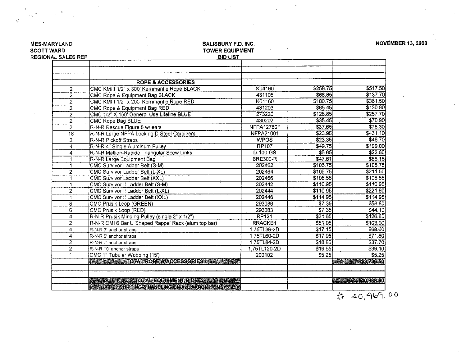| <b>SCOTT WARD</b>         | <b>TOWER EQUIPMENT</b>                                               |                   |          |                            |
|---------------------------|----------------------------------------------------------------------|-------------------|----------|----------------------------|
| <b>REGIONAL SALES REP</b> | <b>BID LIST</b>                                                      |                   |          |                            |
|                           |                                                                      |                   |          |                            |
|                           |                                                                      |                   |          |                            |
|                           | <b>ROPE &amp; ACCESSORIES</b>                                        |                   |          |                            |
| 2                         | CMC KMIII 1/2" x 300' Kernmantle Rope BLACK                          | K04160            | \$258.75 | \$517.50                   |
| $\overline{2}$            | CMC Rope & Equipment Bag BLACK                                       | 431105            | \$68.85  | \$137.70                   |
| 2                         | CMC KMIII 1/2" x 200' Kernmantle Rope RED                            | K01160            | \$180.75 | \$361.50                   |
| $\overline{2}$            | <b>CMC Rope &amp; Equipment Bag RED</b>                              | 431203            | \$65.45  | \$130.90                   |
| $\overline{2}$            | CMC 1/2" X 150' General Use Lifeline BLUE                            | 273220            | \$128.85 | \$257.70                   |
| $\overline{2}$            | CMC Rope Bag BLUE                                                    | 430202            | \$35.45  | \$70.90                    |
| $\overline{2}$            | R-N-R Rescue Figure 8 w/ ears                                        | <b>NFPA127801</b> | \$37.65] | \$75.30                    |
| $\overline{18}$           | R-N-R Large NFPA Locking D Steel Carbiners                           | <b>NFPA21001</b>  | \$23.95  | \$431.10                   |
| $\overline{2}$            | R-N-R Pickoff Straps                                                 | <b>WPOS</b>       | \$23.35] | \$46.70                    |
| 4                         | R-N-R 4" Single Aluminum Pulley                                      | <b>RP107</b>      | \$49.75  | \$199.00                   |
| 4                         | R-N-R Mallion-Rapide Triangular Scew Links                           | $D-100-GS$        | \$5.65   | \$22.60                    |
|                           | R-N-R Large Equipment Bag                                            | <b>BRE300-R</b>   | \$47.61  | \$56.15                    |
|                           | <b>CMC Survivor Ladder Belt (S-M)</b>                                | 202462            | \$105.75 | \$105.75]                  |
| $\overline{2}$            | CMC Survivor Ladder Belt (L-XL)                                      | 202464            | \$105.75 | \$211.50                   |
| 1                         | CMC Survivor Ladder Belt (XXL)                                       | 202466            | \$108.55 | \$108.55                   |
| 1                         | CMC Survivor II Ladder Belt (S-M)                                    | 202442            | \$110.95 | \$110.95                   |
| 2                         | CMC Survivor II Ladder Belt (L-XL)                                   | 202444            | \$110.95 | \$221.90                   |
| $\overline{1}$            | CMC Survivor II Ladder Belt (XXL)                                    | 202446            | \$114.95 | \$114.95]                  |
| 8                         | <b>CMC Prusik Loop (GREEN)</b>                                       | 293086            | \$7.35   | \$58.80                    |
| 6                         | CMC Prusik Loop (RED)                                                | 293083            | \$7.35   | \$44.10]                   |
| 4                         | R-N-R Prusik Minding Pulley (single 2" x 1/2")                       | <b>RP121</b>      | \$31.65  | \$126.60                   |
| $\overline{2}$            | R-N-R CMI 6 Bar U Shaped Rappel Rack (alum top bar)                  | <b>RRACKB1</b>    | \$51.95  | \$103.90                   |
| 4                         | R-N-R 3' anchor straps                                               | 1.75TL36-2D       | \$17.15  | \$68.60                    |
| 4                         | R-N-R 5' anchor straps                                               | 1.75TL60-2D       | \$17.95  | \$71.80                    |
| $\overline{2}$            |                                                                      | 1.75TL84-2D       | \$18.85  | \$37.70                    |
| $\overline{2}$            | R-N-R 7' anchor straps                                               | 1.75TL120-2D      | \$19.55  | \$39.10                    |
| 1                         | R-N-R 10' anchor straps<br>CMC 1" Tubular Webbing (15')              | 200102            | \$5.25   | \$5.25]                    |
|                           | <b>ASSAZE &amp; STOTAL ROPE &amp; ACCESSORIES &amp; CONSTRUCTION</b> |                   |          | <b>SS 736450</b>           |
|                           |                                                                      |                   |          |                            |
|                           | <b>IN A REPORT OF A REQUIPMENT ET A REPORT OF A RE</b>               |                   |          | <b>RANCH STARB 1968.60</b> |
|                           | <b>A SAME AND THE PRODUCE ON A REAL FILE AS A</b>                    |                   |          |                            |
|                           |                                                                      |                   |          | 40,969.<br>县               |

d U

 $\mathbb{R}^n$ 

SALISBURY F.D. INC.

**NOVEMBER 13, 2008** 

 $40,969.00$ 

#### $\frac{1}{2}$ SCOTT

 $\vec{m}$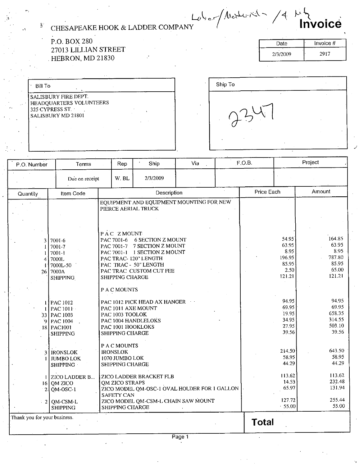$\sqrt{1+\frac{1}{2}}$ CHESAPEAKE HOOK LADDER COMPANY hV C@

P.O. BOX 280<br>
27013 LILLIAN STREET<br>
HEBRON, MD 21830<br>
273/2009 27013 LILLIAN STREET  $\,$  HEBRON, MD 21830  $\,$ 

i

| Date               | Invoice # |
|--------------------|-----------|
| $\sim$<br>2/3/2009 | 2917      |

| <b>Bill To</b>                                                                           |  |
|------------------------------------------------------------------------------------------|--|
| SALISBURY FIRE DEPT.<br>HEADQUARTERS VOLUNTEERS<br>325 CYPRESS ST.<br>SALISBURY MD 21801 |  |
|                                                                                          |  |

| Ship To | τ<br>$\cdots$ |  |
|---------|---------------|--|
| ۰       |               |  |
| ٠.      |               |  |

| P.O. Number<br>Terms            |                                                                                                                                                                                                                                                                                         | Rep                                                                                                                                                                                  | Ship                                                                                                                                                                                                                                                                                                                                                                                                                     | Via | F.O.B.     |                                                                                                                                                                           | Project                                                                                                                                                                         |
|---------------------------------|-----------------------------------------------------------------------------------------------------------------------------------------------------------------------------------------------------------------------------------------------------------------------------------------|--------------------------------------------------------------------------------------------------------------------------------------------------------------------------------------|--------------------------------------------------------------------------------------------------------------------------------------------------------------------------------------------------------------------------------------------------------------------------------------------------------------------------------------------------------------------------------------------------------------------------|-----|------------|---------------------------------------------------------------------------------------------------------------------------------------------------------------------------|---------------------------------------------------------------------------------------------------------------------------------------------------------------------------------|
|                                 | Due on receipt                                                                                                                                                                                                                                                                          | W.BL                                                                                                                                                                                 | 2/3/2009                                                                                                                                                                                                                                                                                                                                                                                                                 |     |            |                                                                                                                                                                           |                                                                                                                                                                                 |
| Quantity                        | Item Code                                                                                                                                                                                                                                                                               |                                                                                                                                                                                      | Description                                                                                                                                                                                                                                                                                                                                                                                                              |     | Price Each |                                                                                                                                                                           | Amount                                                                                                                                                                          |
| 4<br>26<br>٠q<br>2 <sub>1</sub> | 7001-6<br>7001-7<br>$7001 - 1$<br>7000L<br>7000L-50<br>7000A<br>SHIPPING<br><b>PAC 1012</b><br>PAC1011<br>33 PAC 1003<br><b>PAC 1004</b><br>18 PAC1001<br><b>SHIPPING</b><br><b>IRONSLOK</b><br><b>JUMBO LOK</b><br><b>SHIPPING</b><br><b>ZICO LADDER B</b><br>$16$ OM ZICO<br>QM-OSC-1 | PAC ZMOUNT<br>SHIPPING CHARGE<br>P A C MOUNTS<br>PAC 1003 TOOLOK<br>SHIPPING CHARGE<br>P A C MOUNTS<br><b>IRONSLOK</b><br>1070 JUMBO LOK<br>SHIPPING CHARGE<br><b>QM ZICO STRAPS</b> | EQUIPMENT AND EQUIPMENT MOUNTING FOR NEW<br>PIERCE AERIAL TRUCK<br>PAC 7001-6 6 SECTION Z MOUNT<br>PAC 7001-7 7 SECTION Z MOUNT<br>PAC 7001-1 1 SECTION Z MOUNT<br>PAC TRAC-120" LENGTH<br>PAC TRAC - 50" LENGTH<br>PAC TRAC CUSTOM CUT FEE<br>PAC 1012 PICK HEAD AX HANGER<br>PAC 1011 AXE MOUNT<br>PAC 1004 HANDLELOKS<br>PAC 1001 HOOKLOKS<br>ZICO LADDER BRACKET FLB<br>ZICO MODEL QM-OSC-1 OVAL HOLDER FOR 1 GALLON |     |            | 54.95<br>63.95<br>8:95<br>196.95<br>85.95<br>2.50<br>121.21<br>94.95<br>69.95<br>19.95<br>34.95<br>27.95<br>39.56<br>214.50<br>58.95<br>44.29<br>113.62<br>14.53<br>65.97 | 164.85<br>63.95<br>8.95<br>787.80<br>85.95<br>65.00<br>121.21<br>94.95<br>69.95<br>65835<br>314.55<br>503.10<br>39.56<br>643.50<br>58.95<br>44.29<br>113.62<br>232.48<br>131.94 |
|                                 | $\approx$ 2   QM-CSM-L<br><b>SHIPPING</b>                                                                                                                                                                                                                                               | <b>SAFETY CAN</b><br>SHIPPING CHARGE                                                                                                                                                 | ZICO MODEL QM-CSM-L CHAIN SAW MOUNT                                                                                                                                                                                                                                                                                                                                                                                      |     |            | 127.72<br>.55.00                                                                                                                                                          | 255.44<br>55.00                                                                                                                                                                 |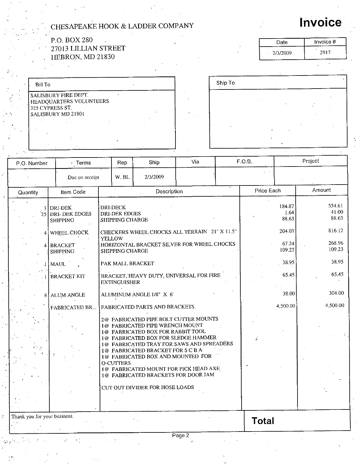|                              | CHESAPEAKE HOOK & LADDER COMPANY                                                         |                                                                   |                                                                                                                                                                                                                                                                                                                                          |     |         |              |                              | <b>Invoice</b>             |
|------------------------------|------------------------------------------------------------------------------------------|-------------------------------------------------------------------|------------------------------------------------------------------------------------------------------------------------------------------------------------------------------------------------------------------------------------------------------------------------------------------------------------------------------------------|-----|---------|--------------|------------------------------|----------------------------|
|                              | P.O. BOX 280<br>27013 LILLIAN STREET                                                     |                                                                   |                                                                                                                                                                                                                                                                                                                                          |     |         |              | Date<br>2/3/2009             | Invoice #<br>2917          |
|                              | HEBRON, MD 21830                                                                         |                                                                   |                                                                                                                                                                                                                                                                                                                                          |     |         |              |                              |                            |
| <b>Bill To</b>               |                                                                                          |                                                                   |                                                                                                                                                                                                                                                                                                                                          |     | Ship To |              |                              |                            |
|                              | SALISBURY FIRE DEPT.<br>HEADQUARTERS VOLUNTEERS<br>325 CYPRESS ST.<br>SALISBURY MD 21801 |                                                                   |                                                                                                                                                                                                                                                                                                                                          |     |         |              |                              |                            |
|                              |                                                                                          |                                                                   |                                                                                                                                                                                                                                                                                                                                          |     |         |              |                              |                            |
| P.O. Number                  | - Terms                                                                                  | Rep                                                               | Ship                                                                                                                                                                                                                                                                                                                                     | Via |         | F.O.B.       |                              | Project                    |
|                              | Due on receipt                                                                           | W. BL                                                             | 2/3/2009                                                                                                                                                                                                                                                                                                                                 |     |         |              |                              |                            |
| Quantity                     | Item Code                                                                                |                                                                   | Description                                                                                                                                                                                                                                                                                                                              |     |         | Price Each   |                              | Amount                     |
|                              | 3 DRI-DEK<br>25 DRI-DEK EDGES<br><b>SHIPPING</b>                                         | <b>DRI-DECK</b><br><b>DRI-DEK EDGES</b><br><b>SHIPPING CHARGE</b> |                                                                                                                                                                                                                                                                                                                                          |     |         |              | 184.87<br>1.64<br>88.63      | 554.61<br>41.00<br>88.63   |
| 4                            | 4 WHEEL CHOCK<br><b>BRACKET</b><br><b>SHIPPING</b>                                       | <b>YELLOW</b><br>SHIPPING CHARGE                                  | CHECKERS WHEEL CHOCKS ALL TERRAIN 21" X 11.5"<br>HORIZONTAL BRACKET SILVER FOR WHEEL CHOCKS                                                                                                                                                                                                                                              |     |         |              | 204.03<br>$-67.24$<br>109.23 | 816.12<br>268.96<br>109.23 |
|                              | MAUL                                                                                     | PAK MALL BRACKET                                                  |                                                                                                                                                                                                                                                                                                                                          |     |         |              | 38.95                        | 38.95<br>65.45             |
|                              | <b>BRACKET KIT</b>                                                                       | <b>EXTINGUISHER</b>                                               | BRACKET, HEAVY DUTY, UNIVERSAL FOR FIRE                                                                                                                                                                                                                                                                                                  |     |         |              | 65.45                        |                            |
| 8                            | <b>ALUM ANGLE</b>                                                                        |                                                                   | ALUMINUM ANGLE 1/8" X 6'                                                                                                                                                                                                                                                                                                                 |     |         |              | 38.00                        | 304.00                     |
|                              | FABRICATED BR                                                                            |                                                                   | FABRICATED PARTS AND BRACKETS.                                                                                                                                                                                                                                                                                                           |     |         |              | 4,500.00                     | 4,500.00                   |
|                              |                                                                                          |                                                                   | 2@ FABRICATED PIPE BOLT CUTTER MOUNTS<br>1@ FABRICATED PIPE WRENCH MOUNT<br>1@ FABRICATED BOX FOR RABBIT TOOL<br>1@ FABRICATED BOX FOR SLEDGE HAMMER<br>1@ FABRICATED TRAY FOR SAWS AND SPREADERS<br>1@ FABRICATED BRACKET FOR S C B A<br>1@ FABRICATED BOX AND MOUNTED FOR<br><b>O-CUTTERS</b><br>1@ FABRICATED MOUNT FOR PICK HEAD AXE |     |         |              |                              |                            |
|                              |                                                                                          |                                                                   | 1@ FABRICATED BRACKETS FOR DOOR JAM<br>CUT OUT DIVIDER FOR HOSE LOADS                                                                                                                                                                                                                                                                    |     |         |              |                              |                            |
|                              |                                                                                          |                                                                   |                                                                                                                                                                                                                                                                                                                                          |     |         |              |                              |                            |
| Thank you for your business. |                                                                                          |                                                                   |                                                                                                                                                                                                                                                                                                                                          |     |         | <b>Total</b> |                              |                            |

Page 2

 $\hat{\mathcal{L}}$ 

 $\ddotsc$ 

 $\tilde{\mathcal{C}}$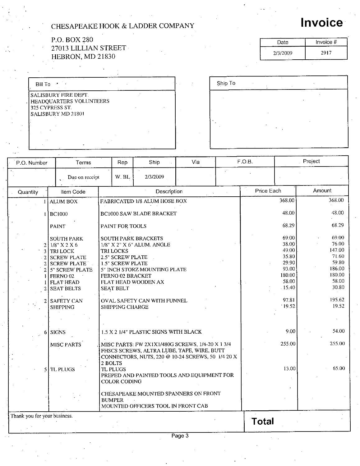#### P.O. BOX 280 27013 LILLIAN STREET HEBRON, MD  $21830$

| <b>Bill To</b>                                                                           |  |  |
|------------------------------------------------------------------------------------------|--|--|
| SALISBURY FIRE DEPT.<br>HEADQUARTERS VOLUNTEERS<br>325 CYPRESS ST.<br>SALISBURY MD 21801 |  |  |
|                                                                                          |  |  |

| Ship To |  |  |  |
|---------|--|--|--|
|         |  |  |  |
|         |  |  |  |
|         |  |  |  |
|         |  |  |  |
|         |  |  |  |
|         |  |  |  |
|         |  |  |  |

| P.O. Number                  | Terms |                                                                                                                                                                                                                 | Rep                                                                                                                                                                             | Ship                                                                                                                                                | Via |                              | F.O.B.     |                                                                                                   | Project                                                                                             |  |
|------------------------------|-------|-----------------------------------------------------------------------------------------------------------------------------------------------------------------------------------------------------------------|---------------------------------------------------------------------------------------------------------------------------------------------------------------------------------|-----------------------------------------------------------------------------------------------------------------------------------------------------|-----|------------------------------|------------|---------------------------------------------------------------------------------------------------|-----------------------------------------------------------------------------------------------------|--|
|                              |       | Due on receipt                                                                                                                                                                                                  | W.BL                                                                                                                                                                            | 2/3/2009                                                                                                                                            |     | $\mathcal{L}^{\prime\prime}$ |            |                                                                                                   |                                                                                                     |  |
| <b>Quantity</b>              |       | Item Code                                                                                                                                                                                                       |                                                                                                                                                                                 | Description                                                                                                                                         |     |                              | Price Each |                                                                                                   | Amount                                                                                              |  |
|                              |       | <b>ALUM BOX</b>                                                                                                                                                                                                 |                                                                                                                                                                                 | FABRICATED 1/8 ALUM HOSE BOX                                                                                                                        |     |                              |            | 368.00                                                                                            | 368.00                                                                                              |  |
|                              |       | <b>BC1000</b>                                                                                                                                                                                                   |                                                                                                                                                                                 | <b>BC1000 SAW BLADE BRACKET</b>                                                                                                                     |     |                              |            | 48.00                                                                                             | 48.00                                                                                               |  |
|                              |       | <b>PAINT</b>                                                                                                                                                                                                    | PAINT FOR TOOLS                                                                                                                                                                 |                                                                                                                                                     |     |                              |            | 68.29                                                                                             | 68.29                                                                                               |  |
|                              |       | <b>SOUTH PARK</b><br>$21/8$ " X 2 X 6<br>3 TRI LOCK<br>2 SCREW PLATE<br>2 SCREW PLATE<br>5" SCREW PLATE<br>FERNO <sub>02</sub><br><b>FLAT HEAD</b><br><b>SEAT BELTS</b><br><b>SAFETY CAN</b><br><b>SHIPPING</b> | <b>SOUTH PARK BRACKETS</b><br><b>TRI LOCKS</b><br><b>2.5" SCREW PLATE</b><br>1.5" SCREW PLATE<br>FERNO 02 BRACKET<br>FLAT HEAD WOODEN AX<br><b>SEAT BELT</b><br>SHIPPING CHARGE | 1/8" X 2" X 6" ALUM. ANGLE<br>5" INCH STORZ MOUNTING PLATE<br>OVAL SAFETY CAN WITH FUNNEL                                                           |     |                              |            | 69.00<br>38.00<br>49.00<br>35.80<br>29.90<br>93.00<br>180.00<br>58.00<br>-15.40<br>97.81<br>19.52 | 69.00<br>76.00<br>147.00<br>71.60<br>59.80<br>186.00<br>180.00<br>58.00<br>30.80<br>195.62<br>19.52 |  |
|                              |       | 6 SIGNS                                                                                                                                                                                                         |                                                                                                                                                                                 | 1.5 X 2 1/4" PLASTIC SIGNS WITH BLACK                                                                                                               |     |                              |            | 9.00                                                                                              | 54.00                                                                                               |  |
|                              |       | MISC PARTS                                                                                                                                                                                                      | 2 BOLTS                                                                                                                                                                         | MISC PARTS: FW 2X1X1/480G SCREWS, 1/4-20 X 1 3/4<br>FHSCS SCREWS, ALTRA LUBE, TAPE, WIRE, BUTT<br>CONNECTORS, NUTS, 220 @ 10-24 SCREWS, 50 1/4 20 X |     |                              |            | 255,00                                                                                            | 255.00                                                                                              |  |
|                              |       | $5$ TL PLUGS                                                                                                                                                                                                    | <b>TL PLUGS</b><br><b>COLOR CODING</b>                                                                                                                                          | PREPED AND PAINTED TOOLS AND EQUIPMENT FOR                                                                                                          |     |                              |            | 13.00                                                                                             | 65.00                                                                                               |  |
|                              |       |                                                                                                                                                                                                                 | <b>BUMPER</b>                                                                                                                                                                   | CHESAPEAKE MOUNTED SPANNERS ON FRONT<br>MOUNTED OFFICERS TOOL IN FRONT CAB                                                                          |     |                              |            |                                                                                                   |                                                                                                     |  |
| Thank you for your business. |       |                                                                                                                                                                                                                 |                                                                                                                                                                                 |                                                                                                                                                     |     |                              |            |                                                                                                   |                                                                                                     |  |

Г

Total

#### Page 3

# **Invoice**

Date Invoice # Date Invoice<br>2/3/2009 2917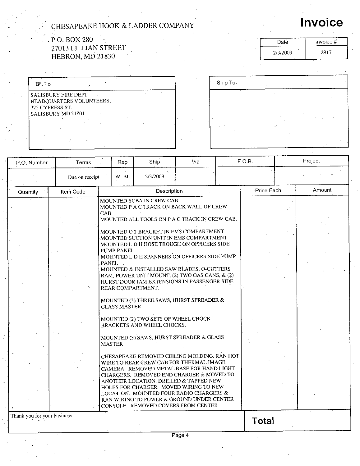#### $P.O. BOX 280$ 27013 LILLIAN STREET HEBRON, MD 21830

| Date     | Invoice # |
|----------|-----------|
| 2/3/2009 | 2917      |

Invoice

| <b>Bill To</b>           |  |  |
|--------------------------|--|--|
| SALISBURY FIRE DEPT.     |  |  |
| HEADQUARTERS VOLUNTEERS. |  |  |
| 325 CYPRESS ST.          |  |  |
| SALISBURY MD 21801       |  |  |
|                          |  |  |
|                          |  |  |
|                          |  |  |

| Ship To |                |  |  |
|---------|----------------|--|--|
| $\sim$  |                |  |  |
|         |                |  |  |
|         | ٠              |  |  |
|         | $\ddot{\cdot}$ |  |  |
|         |                |  |  |

| P.O. Number                  | Terms            | Rep                                                                                              | Ship                                                                                                 | Via                                                                                                                                                                                                                                                                                                                                                                                                                                                                                                                                                                                                                                                                                                                                                                                                                                                                                                                      | F.O.B. |            | Project |
|------------------------------|------------------|--------------------------------------------------------------------------------------------------|------------------------------------------------------------------------------------------------------|--------------------------------------------------------------------------------------------------------------------------------------------------------------------------------------------------------------------------------------------------------------------------------------------------------------------------------------------------------------------------------------------------------------------------------------------------------------------------------------------------------------------------------------------------------------------------------------------------------------------------------------------------------------------------------------------------------------------------------------------------------------------------------------------------------------------------------------------------------------------------------------------------------------------------|--------|------------|---------|
|                              | Due on receipt   | W.BL                                                                                             | 2/3/2009                                                                                             |                                                                                                                                                                                                                                                                                                                                                                                                                                                                                                                                                                                                                                                                                                                                                                                                                                                                                                                          |        |            |         |
| Quantity                     | <b>Item Code</b> |                                                                                                  | Description                                                                                          |                                                                                                                                                                                                                                                                                                                                                                                                                                                                                                                                                                                                                                                                                                                                                                                                                                                                                                                          |        | Price Each | Amount  |
|                              |                  | CAB.<br>PUMP PANEL.<br><b>PANEL</b><br>REAR COMPARTMENT.<br><b>GLASS MASTER</b><br><b>MASTER</b> | MOUNTED SCBA IN CREW CAB<br>MOUNTED (2) TWO SETS OF WHEEL CHOCK<br><b>BRACKETS AND WHEEL CHOCKS.</b> | MOUNTED P A C TRACK ON BACK WALL OF CREW<br>MOUNTED ALL TOOLS ON P A C TRACK IN CREW CAB.<br>MOUNTED O 2 BRACKET IN EMS COMPARTMENT<br>MOUNTED SUCTION UNIT IN EMS COMPARTMENT<br>MOUNTED L D H HOSE TROUGH ON OFFICERS SIDE<br>MOUNTED L D H SPANNERS ON OFFICERS SIDE PUMP<br>MOUNTED & INSTALLED SAW BLADES, O-CUTTERS<br>RAM, POWER UNIT MOUNT, (2) TWO GAS CANS, & (2)<br>HURST DOOR JAM EXTENSIONS IN PASSENGER SIDE<br>MOUNTED (3) THREE SAWS, HURST SPREADER &<br>MOUNTED (3) SAWS, HURST SPREADER & GLASS<br>CHESAPEAKE REMOVED CEILING MOLDING. RAN HOT<br>WIRE TO REAR CREW CAB FOR THERMAL IMAGE<br>CAMERA. REMOVED METAL BASE FOR HAND LIGHT<br>CHARGERS. REMOVED END CHARGER & MOVED TO<br>ANOTHER LOCATION. DRILLED & TAPPED NEW<br>HOLES FOR CHARGER. MOVED WIRING TO NEW<br>LOCATION. MOUNTED FOUR RADIO CHARGERS &<br>RAN WIRING TO POWER & GROUND UNDER CENTER<br>CONSOLE. REMOVED COVERS FROM CENTER |        |            |         |
| Thank you for your business. |                  |                                                                                                  |                                                                                                      |                                                                                                                                                                                                                                                                                                                                                                                                                                                                                                                                                                                                                                                                                                                                                                                                                                                                                                                          | Total  |            |         |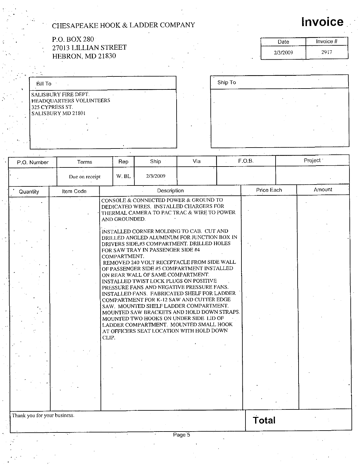#### P.O. BOX 280 27013 LILLIAN STREET HEBRON, MD 21830

| Date     | Invoice #  |
|----------|------------|
| 2/3/2009 | л.<br>2917 |

Ship To

| <b>Bill To</b>                                                                               |  |
|----------------------------------------------------------------------------------------------|--|
| l salisbury fire dept.<br>HEADQUARTERS VOLUNTEERS<br>325 CYPRESS ST.<br>l SALISBURY MD 21801 |  |

| P.O. Number                  | Terms          | Rep                                    | Ship                                                                                                                                                                                                                                                                                                                                                                                                                                                                                                                                                                                                                                                                                                                                                                                                                                                    | Via | F.O.B.     |  | Project <sup>®</sup> |  |
|------------------------------|----------------|----------------------------------------|---------------------------------------------------------------------------------------------------------------------------------------------------------------------------------------------------------------------------------------------------------------------------------------------------------------------------------------------------------------------------------------------------------------------------------------------------------------------------------------------------------------------------------------------------------------------------------------------------------------------------------------------------------------------------------------------------------------------------------------------------------------------------------------------------------------------------------------------------------|-----|------------|--|----------------------|--|
|                              | Due on receipt |                                        | 2/3/2009                                                                                                                                                                                                                                                                                                                                                                                                                                                                                                                                                                                                                                                                                                                                                                                                                                                |     |            |  |                      |  |
| Quantity                     | Item Code      |                                        | Description                                                                                                                                                                                                                                                                                                                                                                                                                                                                                                                                                                                                                                                                                                                                                                                                                                             |     | Price Each |  | Amount               |  |
|                              |                | AND GROUNDED.<br>COMPARTMENT.<br>CLIP. | CONSOLE & CONNECTED POWER & GROUND TO<br>DEDICATED WIRES. INSTALLED CHARGERS FOR<br>THERMAL CAMERA TO PAC TRAC & WIRE TO POWER<br>INSTALLED CORNER MOLDING TO CAB. CUT AND<br>DRILLED ANGLED ALUMINUM FOR JUNCTION BOX IN<br>DRIVERS SIDE,#3 COMPARTMENT. DRILLED HOLES<br>FOR SAW TRAY IN PASSENGER SIDE #4<br>REMOVED 240 VOLT RECEPTACLE FROM SIDE WALL<br>OF PASSENGER SIDE #5 COMPARTMENT INSTALLED<br>ON REAR WALL OF SAME COMPARTMENT.<br>INSTALLED TWIST LOCK PLUGS ON POSITIVE<br>PRESSURE FANS AND NEGATIVE PRESSURE FANS.<br>INSTALLED FANS. FABRICATED SHELF FOR LADDER<br>COMPARTMENT FOR K-12 SAW AND CUTTER EDGE<br>SAW. MOUNTED SHELF LADDER COMPARTMENT.<br>MOUNTED SAW BRACKETS AND HOLD DOWN STRAPS.<br>MOUNTED TWO HOOKS ON UNDER SIDE LID OF<br>LADDER COMPARTMENT. MOUNTED SMALL HOOK<br>AT OFFICERS SEAT LOCATION WITH HOLD DOWN |     |            |  |                      |  |
| Thank you for your business. |                |                                        |                                                                                                                                                                                                                                                                                                                                                                                                                                                                                                                                                                                                                                                                                                                                                                                                                                                         |     | Total      |  |                      |  |

Page 5

# Invoice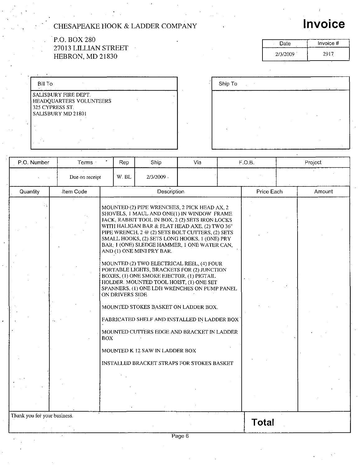#### P.O. BOX 280 27013 LILLIAN STREET  $\mathcal{L}_{\mathcal{A}}$ HEBRON, MD 21830

| <b>Bill To</b>                                                |                         |  |
|---------------------------------------------------------------|-------------------------|--|
| SALISBURY FIRE DEPT.<br>325 CYPRESS ST.<br>SALISBURY MD 21801 | HEADQUARTERS VOLUNTEERS |  |
|                                                               |                         |  |

| v<br>$\sim$ | Ship To | ٠ |    |   |                          |    |     |  |
|-------------|---------|---|----|---|--------------------------|----|-----|--|
|             |         |   |    |   |                          |    | . . |  |
|             |         |   |    |   |                          |    |     |  |
|             |         | ٠ |    | ٠ | $\overline{\phantom{a}}$ | ĥ. |     |  |
|             | 'n.     |   |    |   |                          |    |     |  |
|             |         |   | ٠. |   |                          |    |     |  |

| P.O. Number                  | Terms :   | Rep                     | Ship                                                                                                                                                                                                                                                                                                                                                                                                                                                                                                                                                                | Via | F.O.B.       |  | Project |  |
|------------------------------|-----------|-------------------------|---------------------------------------------------------------------------------------------------------------------------------------------------------------------------------------------------------------------------------------------------------------------------------------------------------------------------------------------------------------------------------------------------------------------------------------------------------------------------------------------------------------------------------------------------------------------|-----|--------------|--|---------|--|
| Due on receipt               |           | W.BL                    | 2/3/2009.                                                                                                                                                                                                                                                                                                                                                                                                                                                                                                                                                           |     |              |  |         |  |
| Quantity                     | Item Code |                         | Description                                                                                                                                                                                                                                                                                                                                                                                                                                                                                                                                                         |     | Price Each   |  | Amount  |  |
|                              |           |                         | MOUNTED (2) PIPE WRENCHES, 2 PICK HEAD AX, 2<br>SHOVELS, 1 MAUL AND ONE(1) IN WINDOW FRAME<br>JACK, RABBIT TOOL IN BOX, 2 (2) SETS IRON LOCKS<br>WITH HALIGAN BAR & FLAT HEAD AXE, (2) TWO 36"<br>PIPE WRENCH, 2 @ (2) SETS BOLT CUTTERS, (2) SETS<br>SMALL HOOKS, (2) SETS LONG HOOKS, 1 (ONE) PRY<br>BAR, 1 (ONE) SLEDGE HAMMER, 1 ONE WATER CAN,<br>AND (1) ONE MINI PRY BAR.<br>MOUNTED (2) TWO ELECTRICAL REEL, (4) FOUR<br>PORTABLE LIGHTS, BRACKETS FOR (2) JUNCTION<br>BOXES, (1) ONE SMOKE EJECTOR, (1) PIGTAIL<br>HOLDER. MOUNTED TOOL HOIST, (1) ONE SET |     |              |  |         |  |
|                              |           | ON DRIVERS SIDE<br>BOX. | SPANNERS, (1) ONE LDH WRENCHES ON PUMP PANEL<br>MOUNTED STOKES BASKET ON LADDER BOX.<br>FABRICATED SHELF AND INSTALLED IN LADDER BOX<br>MOUNTED CUTTERS EDGE AND BRACKET IN LADDER                                                                                                                                                                                                                                                                                                                                                                                  |     |              |  |         |  |
|                              |           |                         | MOUNTED K 12 SAW IN LADDER BOX<br><b>INSTALLED BRACKET STRAPS FOR STOKES BASKET</b>                                                                                                                                                                                                                                                                                                                                                                                                                                                                                 |     |              |  |         |  |
| Thank you for your business. |           |                         |                                                                                                                                                                                                                                                                                                                                                                                                                                                                                                                                                                     |     | <b>Total</b> |  |         |  |
|                              |           |                         |                                                                                                                                                                                                                                                                                                                                                                                                                                                                                                                                                                     |     |              |  |         |  |

Invoice

Date | Invoice # Date Invoice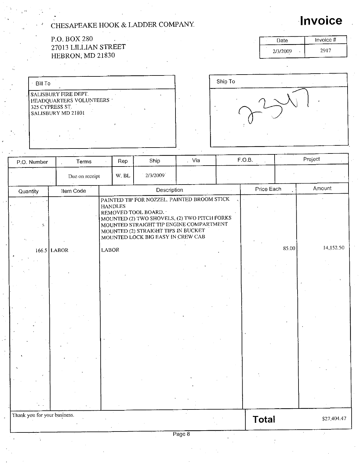#### P.O. BOX 27013 LILLIAN STREET HEBRON, MD 21830

Thank you for your business.

÷.

| Bill To                                                                                                |  |  |  |
|--------------------------------------------------------------------------------------------------------|--|--|--|
| <b>SALISBURY FIRE DEPT.</b><br>HEADQUARTERS VOLUNTEERS<br>325 CYPRESS ST.<br><b>SALISBURY MD 21801</b> |  |  |  |
|                                                                                                        |  |  |  |

| <br>Ship To<br>٠ | $\bullet$ |
|------------------|-----------|
| r                | ×         |

| P.O. Number | Terms          | Rep            | Ship                                                                                                                                                                                                                                      | . Via | F.O.B.     |       | Project   |
|-------------|----------------|----------------|-------------------------------------------------------------------------------------------------------------------------------------------------------------------------------------------------------------------------------------------|-------|------------|-------|-----------|
|             | Due on receipt | W. BL          | 2/3/2009                                                                                                                                                                                                                                  |       |            |       |           |
| Quantity    | Item Code      |                | Description                                                                                                                                                                                                                               |       | Price Each |       | Amount    |
|             |                | <b>HANDLES</b> | PAINTED TIP FOR NOZZEL. PAINTED BROOM STICK<br>REMOVED TOOL BOARD.<br>MOUNTED (2) TWO SHOVELS, (2) TWO PITCH FORKS<br>MOUNTED STRAIGHT TIP ENGINE COMPARTMENT<br>MOUNTED (2) STRAIGHT TIPS IN BUCKET<br>MOUNTED LOCK BIG EASY IN CREW CAB |       |            |       |           |
|             | $166.5$ LABOR  | <b>LABOR</b>   |                                                                                                                                                                                                                                           |       |            | 85.00 | 14,152.50 |
|             |                |                |                                                                                                                                                                                                                                           |       |            |       |           |

| 280 |  |  |  |
|-----|--|--|--|
|     |  |  |  |

Date Invoice # Date Invoice<br>2/3/2009 2917

Invoice

Page<sup>1</sup> 8

 $\hat{\mathcal{P}}$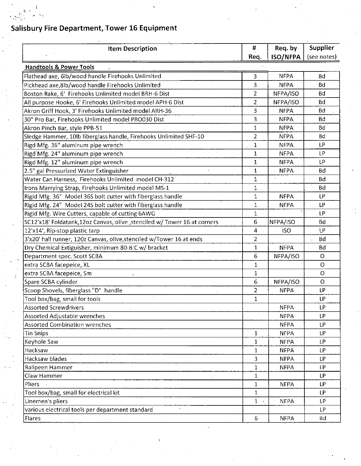Ċ.

| <b>Item Description</b>                                                   | #              | Req. by         | Supplier    |
|---------------------------------------------------------------------------|----------------|-----------------|-------------|
|                                                                           | Req.           | <b>ISO/NFPA</b> | (see notes) |
| <b>Handtools &amp; Power Tools</b>                                        |                |                 |             |
| Flathead axe, 6lb/wood handle Firehooks Unlimited                         | 3              | <b>NFPA</b>     | Bd          |
| Pickhead axe, 8lb/wood handle Firehooks Unlimited                         | 3              | <b>NFPA</b>     | Bd          |
| Boston Rake, 6' Firehooks Unlimited model BRH-6 Dist                      | $\overline{2}$ | NFPA/ISO        | Bd          |
| All purpose Hooke, 6' Firehooks Unlimited model APH-6 Dist                | $\overline{2}$ | NFPA/ISO        | <b>Bd</b>   |
| Akron Griff Hook, 3' Firehooks Unlimited model ARH-36                     | 3              | <b>NFPA</b>     | <b>Bd</b>   |
| 30" Pro Bar, Firehooks Unlimited model PRO030 Dist                        | 3              | <b>NFPA</b>     | <b>Bd</b>   |
| Akron Pinch Bar, style PPB-51                                             | $\mathbf{1}$   | <b>NFPA</b>     | <b>Bd</b>   |
| Sledge Hammer, 10lb fiberglass handle, Firehooks Unlimited SHF-10         | $\overline{2}$ | <b>NFPA</b>     | <b>Bd</b>   |
| Rigd Mfg. 36" aluminum pipe wrench                                        | 1              | <b>NFPA</b>     | LP          |
| Rigd'Mfg. 24" aluminum pipe wrench                                        | 1              | <b>NFPA</b>     | LP          |
| Rigd Mfg. 12" aluminum pipe wrench                                        | $1^\circ$      | <b>NFPA</b>     | LP          |
| 2.5" gal Pressurized Water Extinguisher                                   | $\mathbf 1$    | <b>NFPA</b>     | Bd          |
| Water Can Harness, Firehooks Unlimited model CH-312                       | 1              |                 | Bd          |
| Irons Marrying Strap, Firehooks Unlimited model MS-1                      | $\mathbf 1$    |                 | <b>Bd</b>   |
| Rigid Mfg. 36" Model 36S bolt cutter with fiberglass handle               | 1              | <b>NFPA</b>     | LР          |
| Rigid Mfg. 24" Model 24S bolt cutter with fiberglass handle               | $\mathbf{1}$   | <b>NFPA</b>     | LP          |
| Rigid Mfg. Wire Cutters, capable of cutting 6AWG                          | $\mathbf{1}$   |                 | LP          |
| SC12'x18' Foldatank,12oz Canvas, olive , stenciled w/ Tower 16 at corners | 6              | NFPA/ISO        | Bd          |
| 12'x14', Rip-stop plastic tarp                                            | 4              | <b>ISO</b>      | <b>LP</b>   |
| 3'x20' hall runner, 120z Canvas, olive, stenciled w/Tower 16 at ends      | $\overline{2}$ |                 | Bd          |
| Dry Chemical Extiguisher, minimum 80-B:C w/ bracket                       | 1              | <b>NFPA</b>     | Bd          |
| Department spec. Scott SCBA                                               | 6              | NFPA/ISO        | 0           |
| extra SCBA facepeice, XL                                                  | $\mathbf 1$    |                 | O           |
| extra SCBA facepeice, Sm                                                  | 1              |                 | O           |
| Spare SCBA cylinder                                                       | 6              | NFPA/ISO        | $\circ$     |
| Scoop Shovels, fiberglass "D" handle                                      | $\overline{a}$ | <b>NFPA</b>     | LP          |
| Tool box/bag, small for tools                                             | $\mathbf{1}$   |                 | LP          |
| <b>Assorted Screwdrivers</b>                                              |                | <b>NFPA</b>     | LP          |
| Assorted Adjustable wrenches                                              |                | <b>NFPA</b>     | LP          |
| <b>Assorted Combination wrenches</b>                                      |                | <b>NFPA</b>     | LP.         |
| <b>Tin Snips</b>                                                          | $\mathbf{1}$   | <b>NFPA</b>     | LP.         |
| Keyhole Saw                                                               | $\mathbf{1}$   | <b>NFPA</b>     | LP.         |
| Hacksaw                                                                   | $\mathbf{1}$   | <b>NFPA</b>     | LP.         |
| Hacksaw blades                                                            | 3              | <b>NFPA</b>     | LP.         |
| Ballpeen Hammer                                                           | $\mathbf{1}$   | <b>NFPA</b>     | LP.         |
| Claw Hammer                                                               | $\mathbf{1}$   |                 | LP.         |
| Pliers                                                                    | $\mathbf 1$    | <b>NFPA</b>     | LP.         |
| Tool box/bag, small for electrical kit                                    | $\mathbf{1}$   |                 | LP.         |
| Linemen's pliers                                                          | $1 -$          | <b>NFPA</b>     | LP.         |
| various electrical tools per department standard<br>$\pmb{\ast}$          |                |                 | LP.         |
| Flares                                                                    | 6              | <b>NFPA</b>     | Bd          |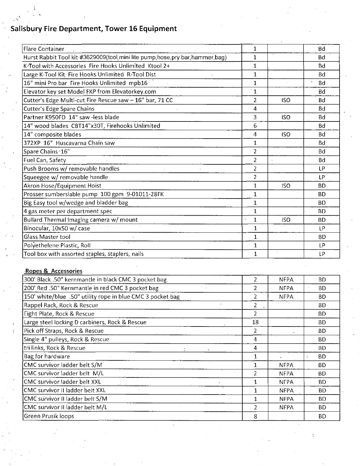| Flare Container                                                                  | $\mathbf{1}$            |            | <b>Bd</b> |
|----------------------------------------------------------------------------------|-------------------------|------------|-----------|
| Hurst Rabbit Tool kit-#3629009(tool, mini lite pump, hose, pry bar, hammer, bag) | $\mathbf{1}$            |            | .Bd       |
| K-Tool with Accessories Fire Hooks Unlimited Ktool 2+                            | $\mathbf{1}$            |            | Bd        |
| Large K-Tool Kit Fire Hooks Unlimited R-Tool Dist                                | $\mathbf{1}$            |            | <b>Bd</b> |
| 16" mini Pro bar Fire Hooks Unlimited mpb16                                      | $\mathbf{1}$            |            | 'Bd       |
| Elevator key set Model FKP from Elevatorkey.com                                  | $\overline{1}$          |            | Bd        |
| Cutter's Edge Multi-cut Fire Rescue saw - 16" bar, 71 CC                         | $\overline{2}$          | <b>ISO</b> | <b>Bd</b> |
| <b>Cutter's Edge Spare Chains</b>                                                | 4                       |            | <b>Bd</b> |
| Partner K950FD 14" saw -less blade                                               | 3                       | <b>ISO</b> | <b>Bd</b> |
| 14" wood blades CBT14"x30T, Firehooks Unlimited                                  | 6                       |            | <b>Bd</b> |
| 14" composite blades                                                             | 4                       | <b>ISO</b> | Bd        |
| 372XP 16" Huscavarna Chain saw                                                   | $\mathbf{1}$            |            | <b>Bd</b> |
| Spare Chains 16"                                                                 | $\overline{2}$          |            | Bd        |
| Fuel Can, Safety                                                                 | $\overline{2}$          |            | <b>Bd</b> |
| Push Brooms w/ removable handles                                                 | $\overline{2}$          |            | LP        |
| Squeegee w/ removable handle                                                     | $\overline{2}$          |            | LP        |
| Akron Hose/Equipment Hoist                                                       | $\mathbf{1}$            | <b>ISO</b> | <b>BD</b> |
| Prosser sumbersiable pump 100 gpm 9-01011-28FK                                   | $\mathbf{1}$            |            | <b>BD</b> |
| Big Easy tool w/wedge and bladder bag                                            | $\mathbf{1}$            |            | <b>BD</b> |
| 4 gas meter per department spec                                                  | $\mathbf{1}$            |            | <b>BD</b> |
| Bullard Thermal Imaging camera w/ mount                                          | 1<br>$\bar{\mathbf{v}}$ | <b>ISO</b> | <b>BD</b> |
| Binocular, 10x50 w/ case                                                         | $\mathbf{1}$            |            | LP        |
| Glass Master tool                                                                | $\mathbf{1}$            |            | <b>BD</b> |
| Polyethelene Plastic, Roll                                                       | $\mathbf{1}$            |            | ĿР        |
| Tool box with assorted staples, staplers, nails                                  | $\mathbf{1}$            |            | <b>LP</b> |

#### Ropes & Accessories

| 300' Black .50" kernmantle in black CMC 3 pocket bag       |              | <b>NFPA</b> | ВD        |
|------------------------------------------------------------|--------------|-------------|-----------|
| 200' Red .50" Kernmantle in red CMC 3 pocket bag           | 2            | <b>NFPA</b> | <b>BD</b> |
| 150' white/blue .50" utility rope in blue CMC 3 pocket bag | 2            | <b>NFPA</b> | ВD        |
| Rappel Rack, Rock & Rescue                                 | 2            |             | BD.       |
| Eight Plate, Rock & Rescue                                 | 2            |             | <b>BD</b> |
| Large steel locking D carbiners, Rock & Rescue             | 18           |             | BD.       |
| Pick off Straps, Rock & Rescue                             | 2            |             | BD.       |
| Single 4" pulleys, Rock & Rescue                           | 4            |             | BD.       |
| tri links, Rock & Rescue                                   | 4            |             | BD.       |
| Bag for hardware                                           | 1            |             | <b>BD</b> |
| CMC survivor ladder belt S/M                               | - 1          | <b>NFPA</b> | BD.       |
| CMC survivor ladder belt M/L                               | 2            | <b>NFPA</b> | BD.       |
| CMC survivor ladder belt XXL                               | $\mathbf{1}$ | <b>NFPA</b> | <b>BD</b> |
| CMC survivor II ladder belt XXL                            |              | NFPA        | ВD        |
| CMC survivor II ladder belt S/M                            |              | NFPA        | ВD        |
| CMC survivor II ladder belt M/L                            | 2            | <b>NFPA</b> | <b>BD</b> |
| Green Prusik loops                                         | 8            |             | ВD        |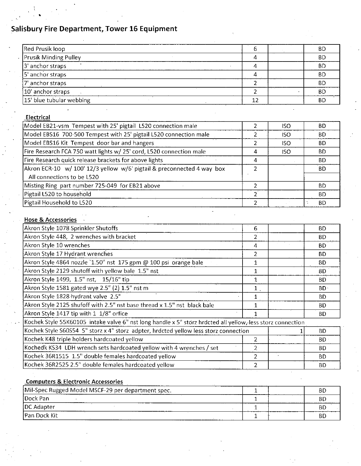| Red Prusik loop              |  | BD        |
|------------------------------|--|-----------|
| <b>Prusik Minding Pulley</b> |  | <b>BD</b> |
| $3'$ anchor straps           |  | <b>BD</b> |
| 5' anchor straps             |  | <b>BD</b> |
| 7' anchor straps             |  | <b>BD</b> |
| 10 anchor straps             |  | .BD       |
| 15 blue tubular webbing      |  | <b>BD</b> |

#### Electrical

|   | ISO.       | BD.       |
|---|------------|-----------|
|   | ISO.       | BD.       |
|   | <b>ISO</b> | BD.       |
| 4 | <b>ISO</b> | BD.       |
| 4 |            | BD.       |
|   |            | BD.       |
|   |            |           |
|   |            | BD.       |
|   |            | BD.       |
|   |            | <b>BD</b> |
|   |            |           |

#### Hose & Accessories

| Akron Style 1078 Sprinkler Shutoffs                                                                        | 6            | BD        |
|------------------------------------------------------------------------------------------------------------|--------------|-----------|
| Akron Style 448, 2 wrenches with bracket                                                                   | 2            | BD.       |
| Akron Style 10 wrenches                                                                                    | 4            | BD        |
| Akron Style 17 Hydrant wrenches                                                                            |              | BD.       |
| Akron Style 4864 nozzle `1.50" nst 175 gpm @ 100 psi orange bale                                           | 1            | BD.       |
| Akron Style 2129 shutoff with yellow bale 1.5" nst                                                         | $\mathbf{1}$ | ВD        |
| Akron Style 1499, 1.5" nst, 15/16" tip                                                                     |              | <b>BD</b> |
| Akron Style 1581 gated wye 2.5" (2) 1.5" nst m                                                             | 1            | $BD^T$    |
| Akron Style 1828 hydrant valve 2.5"                                                                        |              | ВD        |
| Akron Style 2125 shufoff with 2.5" nst base thread x 1.5" nst black bale                                   |              | BD.       |
| Akron Style 1417 tip with 1 1/8" orfice                                                                    |              | ВD        |
| Kochek Style 55K60105 intake valve 6" nst long handle x 5" storz hrdcted all yellow, less storz connection |              |           |
| Kochek Style S60S54 5" storz x 4" storz adpter, hrdcted yellow less storz connection                       |              | BD        |
| Kochek K48 triple holders hardcoated yellow                                                                |              | BD.       |
| Kochedk KS34 LDH wrench sets hardcoated yellow with 4 wrenches / set                                       | $2 -$        | BD.       |
| Kochek 36R1515 1.5" double females hardcoated yellow                                                       | 2            | ВD        |
| Kochek 36R2525 2.5" double females hardcoated yellow                                                       |              | BD.       |

| <b>Computers &amp; Electronic Accessories</b>      |  |     |  |  |  |
|----------------------------------------------------|--|-----|--|--|--|
| Mil-Spec Rugged Model MSCF-29 per department spec. |  | .BD |  |  |  |
| <b>IDock Pan</b>                                   |  | BD  |  |  |  |
| DC Adapter                                         |  | BE. |  |  |  |
| IPan Dock Kit                                      |  | BD  |  |  |  |